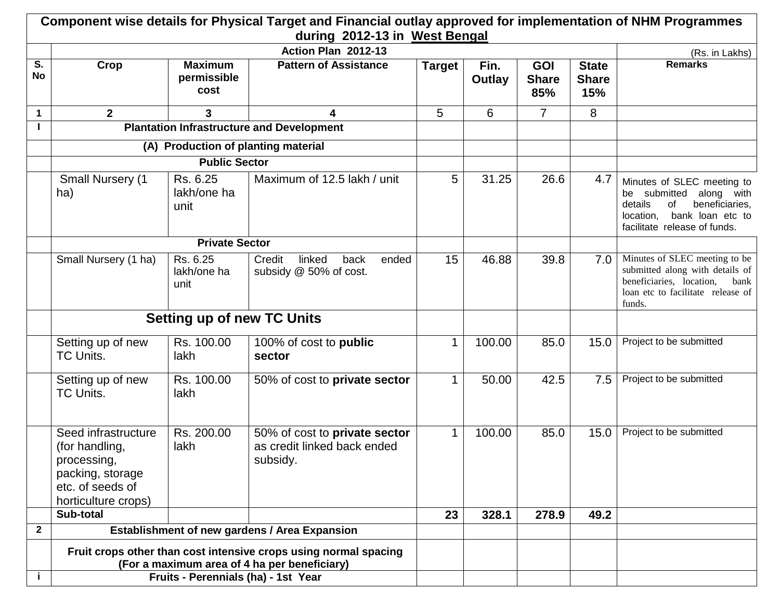|                 |                                                                                                                     |                                       | Component wise details for Physical Target and Financial outlay approved for implementation of NHM Programmes<br>during 2012-13 in West Bengal |               |                |                                   |                                     |                                                                                                                                                              |
|-----------------|---------------------------------------------------------------------------------------------------------------------|---------------------------------------|------------------------------------------------------------------------------------------------------------------------------------------------|---------------|----------------|-----------------------------------|-------------------------------------|--------------------------------------------------------------------------------------------------------------------------------------------------------------|
|                 |                                                                                                                     |                                       | Action Plan 2012-13                                                                                                                            |               |                |                                   |                                     | (Rs. in Lakhs)                                                                                                                                               |
| S.<br><b>No</b> | Crop                                                                                                                | <b>Maximum</b><br>permissible<br>cost | <b>Pattern of Assistance</b>                                                                                                                   | <b>Target</b> | Fin.<br>Outlay | <b>GOI</b><br><b>Share</b><br>85% | <b>State</b><br><b>Share</b><br>15% | <b>Remarks</b>                                                                                                                                               |
| $\mathbf 1$     | $\overline{2}$                                                                                                      | $\mathbf{3}$                          | 4                                                                                                                                              | 5             | 6              | $\overline{7}$                    | 8                                   |                                                                                                                                                              |
|                 |                                                                                                                     |                                       | <b>Plantation Infrastructure and Development</b>                                                                                               |               |                |                                   |                                     |                                                                                                                                                              |
|                 |                                                                                                                     | (A) Production of planting material   |                                                                                                                                                |               |                |                                   |                                     |                                                                                                                                                              |
|                 |                                                                                                                     |                                       |                                                                                                                                                |               |                |                                   |                                     |                                                                                                                                                              |
|                 | <b>Small Nursery (1</b><br>ha)                                                                                      | Rs. 6.25<br>lakh/one ha<br>unit       | Maximum of 12.5 lakh / unit                                                                                                                    | 5             | 31.25          | 26.6                              | 4.7                                 | Minutes of SLEC meeting to<br>be submitted<br>along with<br>beneficiaries,<br>details<br>of<br>bank loan etc to<br>location,<br>facilitate release of funds. |
|                 |                                                                                                                     | <b>Private Sector</b>                 |                                                                                                                                                |               |                |                                   |                                     |                                                                                                                                                              |
|                 | Small Nursery (1 ha)                                                                                                | Rs. 6.25<br>lakh/one ha<br>unit       | Credit<br>linked<br>back<br>ended<br>subsidy @ 50% of cost.                                                                                    | 15            | 46.88          | 39.8                              | 7.0                                 | Minutes of SLEC meeting to be<br>submitted along with details of<br>beneficiaries, location,<br>bank<br>loan etc to facilitate release of<br>funds.          |
|                 | <b>Setting up of new TC Units</b>                                                                                   |                                       |                                                                                                                                                |               |                |                                   |                                     |                                                                                                                                                              |
|                 | Setting up of new<br><b>TC Units.</b>                                                                               | Rs. 100.00<br>lakh                    | 100% of cost to public<br>sector                                                                                                               | 1             | 100.00         | 85.0                              | 15.0                                | Project to be submitted                                                                                                                                      |
|                 | Setting up of new<br><b>TC Units.</b>                                                                               | Rs. 100.00<br>lakh                    | 50% of cost to private sector                                                                                                                  | $\mathbf 1$   | 50.00          | 42.5                              | 7.5                                 | Project to be submitted                                                                                                                                      |
|                 | Seed infrastructure<br>(for handling,<br>processing,<br>packing, storage<br>etc. of seeds of<br>horticulture crops) | Rs. 200.00<br>lakh                    | 50% of cost to private sector<br>as credit linked back ended<br>subsidy.                                                                       | $\mathbf 1$   | 100.00         | 85.0                              | 15.0                                | Project to be submitted                                                                                                                                      |
|                 | Sub-total                                                                                                           |                                       |                                                                                                                                                | 23            | 328.1          | 278.9                             | 49.2                                |                                                                                                                                                              |
| $\mathbf{2}$    |                                                                                                                     |                                       | Establishment of new gardens / Area Expansion                                                                                                  |               |                |                                   |                                     |                                                                                                                                                              |
|                 |                                                                                                                     | Fruits - Perennials (ha) - 1st Year   | Fruit crops other than cost intensive crops using normal spacing<br>(For a maximum area of 4 ha per beneficiary)                               |               |                |                                   |                                     |                                                                                                                                                              |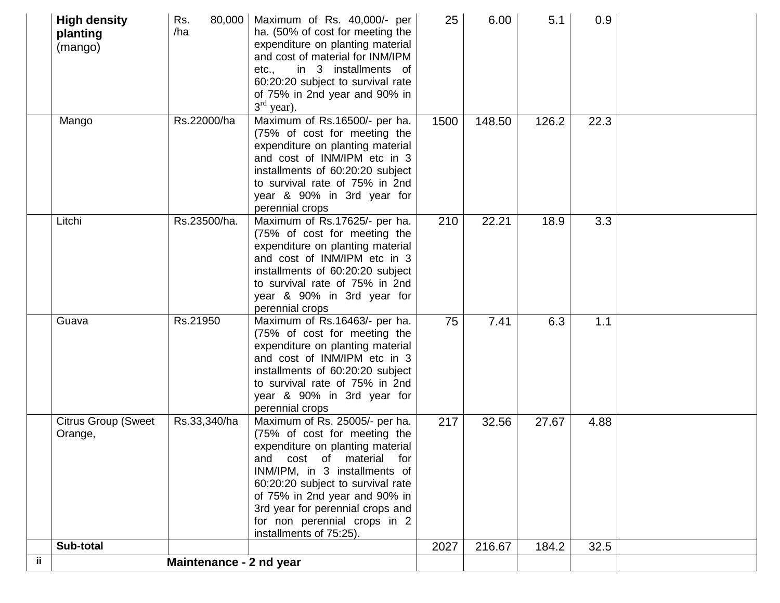|     | <b>High density</b><br>planting<br>(mango) | Rs.<br>80,000<br>/ha    | Maximum of Rs. 40,000/- per<br>ha. (50% of cost for meeting the<br>expenditure on planting material<br>and cost of material for INM/IPM<br>in 3 installments of<br>etc.,<br>60:20:20 subject to survival rate<br>of 75% in 2nd year and 90% in<br>$3rd$ year).                                                                                   | 25   | 6.00   | 5.1   | 0.9  |  |
|-----|--------------------------------------------|-------------------------|--------------------------------------------------------------------------------------------------------------------------------------------------------------------------------------------------------------------------------------------------------------------------------------------------------------------------------------------------|------|--------|-------|------|--|
|     | Mango                                      | Rs.22000/ha             | Maximum of Rs.16500/- per ha.<br>(75% of cost for meeting the<br>expenditure on planting material<br>and cost of INM/IPM etc in 3<br>installments of 60:20:20 subject<br>to survival rate of 75% in 2nd<br>year & 90% in 3rd year for<br>perennial crops                                                                                         | 1500 | 148.50 | 126.2 | 22.3 |  |
|     | Litchi                                     | Rs.23500/ha.            | Maximum of Rs.17625/- per ha.<br>(75% of cost for meeting the<br>expenditure on planting material<br>and cost of INM/IPM etc in 3<br>installments of 60:20:20 subject<br>to survival rate of 75% in 2nd<br>year & 90% in 3rd year for<br>perennial crops                                                                                         | 210  | 22.21  | 18.9  | 3.3  |  |
|     | Guava                                      | Rs.21950                | Maximum of Rs.16463/- per ha.<br>(75% of cost for meeting the<br>expenditure on planting material<br>and cost of INM/IPM etc in 3<br>installments of 60:20:20 subject<br>to survival rate of 75% in 2nd<br>year & 90% in 3rd year for<br>perennial crops                                                                                         | 75   | 7.41   | 6.3   | 1.1  |  |
|     | <b>Citrus Group (Sweet</b><br>Orange,      | Rs.33,340/ha            | Maximum of Rs. 25005/- per ha.<br>(75% of cost for meeting the<br>expenditure on planting material<br>material<br>and<br>cost<br>for<br>of<br>INM/IPM, in 3 installments of<br>60:20:20 subject to survival rate<br>of 75% in 2nd year and 90% in<br>3rd year for perennial crops and<br>for non perennial crops in 2<br>installments of 75:25). | 217  | 32.56  | 27.67 | 4.88 |  |
|     | Sub-total                                  |                         |                                                                                                                                                                                                                                                                                                                                                  | 2027 | 216.67 | 184.2 | 32.5 |  |
| ij. |                                            | Maintenance - 2 nd year |                                                                                                                                                                                                                                                                                                                                                  |      |        |       |      |  |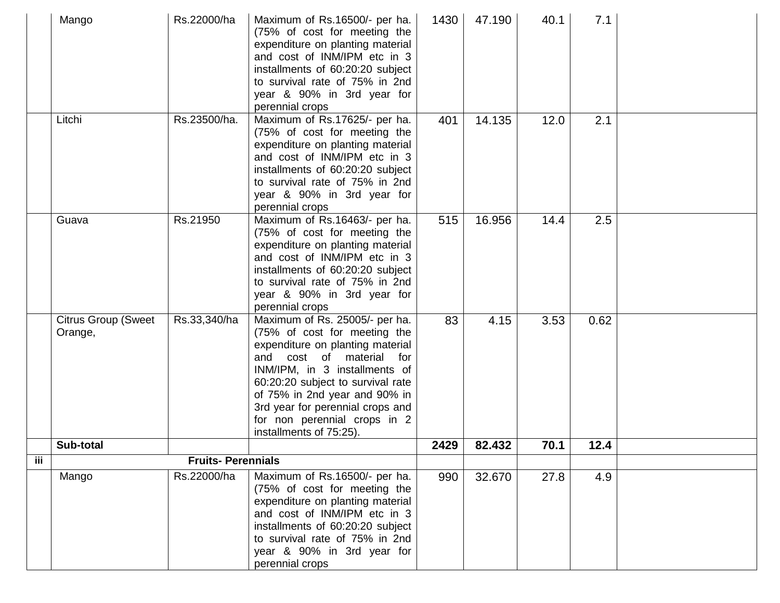|     | Mango                                 | Rs.22000/ha              | Maximum of Rs.16500/- per ha.<br>(75% of cost for meeting the<br>expenditure on planting material<br>and cost of INM/IPM etc in 3<br>installments of 60:20:20 subject<br>to survival rate of 75% in 2nd<br>year & 90% in 3rd year for<br>perennial crops                                                                                   | 1430 | 47.190 | 40.1 | 7.1  |  |
|-----|---------------------------------------|--------------------------|--------------------------------------------------------------------------------------------------------------------------------------------------------------------------------------------------------------------------------------------------------------------------------------------------------------------------------------------|------|--------|------|------|--|
|     | Litchi                                | Rs.23500/ha.             | Maximum of Rs.17625/- per ha.<br>(75% of cost for meeting the<br>expenditure on planting material<br>and cost of INM/IPM etc in 3<br>installments of 60:20:20 subject<br>to survival rate of 75% in 2nd<br>year & 90% in 3rd year for<br>perennial crops                                                                                   | 401  | 14.135 | 12.0 | 2.1  |  |
|     | Guava                                 | Rs.21950                 | Maximum of Rs.16463/- per ha.<br>(75% of cost for meeting the<br>expenditure on planting material<br>and cost of INM/IPM etc in 3<br>installments of 60:20:20 subject<br>to survival rate of 75% in 2nd<br>year & 90% in 3rd year for<br>perennial crops                                                                                   | 515  | 16.956 | 14.4 | 2.5  |  |
|     | <b>Citrus Group (Sweet</b><br>Orange, | Rs.33,340/ha             | Maximum of Rs. 25005/- per ha.<br>(75% of cost for meeting the<br>expenditure on planting material<br>cost of material<br>and<br>for<br>INM/IPM, in 3 installments of<br>60:20:20 subject to survival rate<br>of 75% in 2nd year and 90% in<br>3rd year for perennial crops and<br>for non perennial crops in 2<br>installments of 75:25). | 83   | 4.15   | 3.53 | 0.62 |  |
|     | Sub-total                             |                          |                                                                                                                                                                                                                                                                                                                                            | 2429 | 82.432 | 70.1 | 12.4 |  |
| iii |                                       | <b>Fruits-Perennials</b> |                                                                                                                                                                                                                                                                                                                                            |      |        |      |      |  |
|     | Mango                                 | Rs.22000/ha              | Maximum of Rs.16500/- per ha.<br>(75% of cost for meeting the<br>expenditure on planting material<br>and cost of INM/IPM etc in 3<br>installments of 60:20:20 subject<br>to survival rate of 75% in 2nd<br>year & 90% in 3rd year for<br>perennial crops                                                                                   | 990  | 32.670 | 27.8 | 4.9  |  |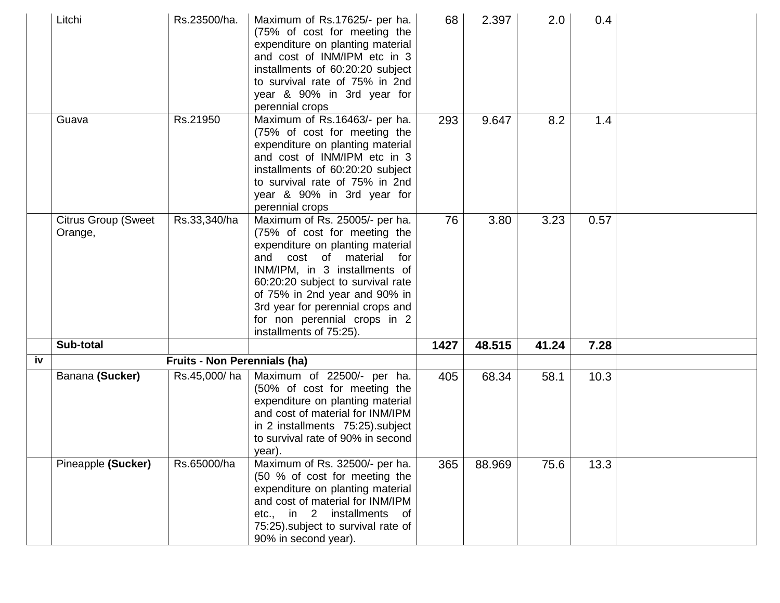|    | Litchi                                | Rs.23500/ha.                 | Maximum of Rs.17625/- per ha.<br>(75% of cost for meeting the<br>expenditure on planting material<br>and cost of INM/IPM etc in 3<br>installments of 60:20:20 subject<br>to survival rate of 75% in 2nd<br>year & 90% in 3rd year for<br>perennial crops                                                                                | 68   | 2.397  | 2.0   | 0.4  |  |
|----|---------------------------------------|------------------------------|-----------------------------------------------------------------------------------------------------------------------------------------------------------------------------------------------------------------------------------------------------------------------------------------------------------------------------------------|------|--------|-------|------|--|
|    | Guava                                 | Rs.21950                     | Maximum of Rs.16463/- per ha.<br>(75% of cost for meeting the<br>expenditure on planting material<br>and cost of INM/IPM etc in 3<br>installments of 60:20:20 subject<br>to survival rate of 75% in 2nd<br>year & 90% in 3rd year for<br>perennial crops                                                                                | 293  | 9.647  | 8.2   | 1.4  |  |
|    | <b>Citrus Group (Sweet</b><br>Orange, | Rs.33,340/ha                 | Maximum of Rs. 25005/- per ha.<br>(75% of cost for meeting the<br>expenditure on planting material<br>and cost of material<br>for<br>INM/IPM, in 3 installments of<br>60:20:20 subject to survival rate<br>of 75% in 2nd year and 90% in<br>3rd year for perennial crops and<br>for non perennial crops in 2<br>installments of 75:25). | 76   | 3.80   | 3.23  | 0.57 |  |
|    | Sub-total                             |                              |                                                                                                                                                                                                                                                                                                                                         | 1427 | 48.515 | 41.24 | 7.28 |  |
| iv |                                       | Fruits - Non Perennials (ha) |                                                                                                                                                                                                                                                                                                                                         |      |        |       |      |  |
|    | Banana (Sucker)                       | Rs.45,000/ha                 | Maximum of 22500/- per ha.<br>(50% of cost for meeting the<br>expenditure on planting material<br>and cost of material for INM/IPM<br>in 2 installments 75:25). subject<br>to survival rate of 90% in second<br>year).                                                                                                                  | 405  | 68.34  | 58.1  | 10.3 |  |
|    | Pineapple (Sucker)                    | Rs.65000/ha                  | Maximum of Rs. 32500/- per ha.<br>(50 % of cost for meeting the<br>expenditure on planting material<br>and cost of material for INM/IPM<br>etc., in 2 installments<br>of<br>75:25).subject to survival rate of<br>90% in second year).                                                                                                  | 365  | 88.969 | 75.6  | 13.3 |  |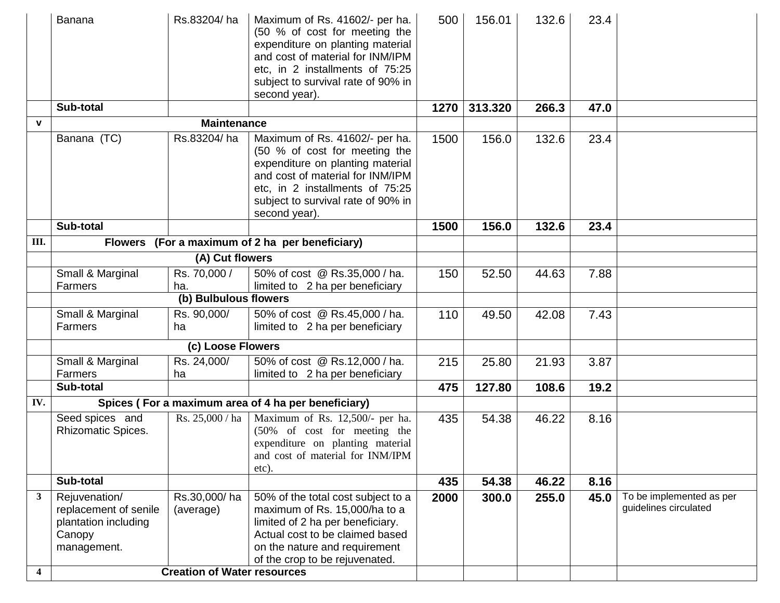|                         | <b>Banana</b>                                                                           | Rs.83204/ha                        | Maximum of Rs. 41602/- per ha.<br>(50 % of cost for meeting the<br>expenditure on planting material<br>and cost of material for INM/IPM<br>etc, in 2 installments of 75:25<br>subject to survival rate of 90% in<br>second year). | 500  | 156.01  | 132.6 | 23.4 |                                                   |
|-------------------------|-----------------------------------------------------------------------------------------|------------------------------------|-----------------------------------------------------------------------------------------------------------------------------------------------------------------------------------------------------------------------------------|------|---------|-------|------|---------------------------------------------------|
|                         | Sub-total                                                                               |                                    |                                                                                                                                                                                                                                   | 1270 | 313.320 | 266.3 | 47.0 |                                                   |
| $\mathbf{V}$            |                                                                                         | <b>Maintenance</b>                 |                                                                                                                                                                                                                                   |      |         |       |      |                                                   |
|                         | Banana (TC)                                                                             | Rs.83204/ha                        | Maximum of Rs. 41602/- per ha.<br>(50 % of cost for meeting the<br>expenditure on planting material<br>and cost of material for INM/IPM<br>etc, in 2 installments of 75:25<br>subject to survival rate of 90% in<br>second year). | 1500 | 156.0   | 132.6 | 23.4 |                                                   |
|                         | Sub-total                                                                               |                                    |                                                                                                                                                                                                                                   | 1500 | 156.0   | 132.6 | 23.4 |                                                   |
| Ш.                      |                                                                                         |                                    | Flowers (For a maximum of 2 ha per beneficiary)                                                                                                                                                                                   |      |         |       |      |                                                   |
|                         |                                                                                         | (A) Cut flowers                    |                                                                                                                                                                                                                                   |      |         |       |      |                                                   |
|                         | Small & Marginal<br>Farmers                                                             | Rs. 70,000 /<br>ha.                | 50% of cost @ Rs.35,000 / ha.<br>limited to 2 ha per beneficiary                                                                                                                                                                  | 150  | 52.50   | 44.63 | 7.88 |                                                   |
|                         |                                                                                         | (b) Bulbulous flowers              |                                                                                                                                                                                                                                   |      |         |       |      |                                                   |
|                         | Small & Marginal<br>Farmers                                                             | Rs. 90,000/<br>ha                  | 50% of cost @ Rs.45,000 / ha.<br>limited to 2 ha per beneficiary                                                                                                                                                                  | 110  | 49.50   | 42.08 | 7.43 |                                                   |
|                         |                                                                                         | (c) Loose Flowers                  |                                                                                                                                                                                                                                   |      |         |       |      |                                                   |
|                         | Small & Marginal<br>Farmers                                                             | Rs. 24,000/<br>ha                  | 50% of cost @ Rs.12,000 / ha.<br>limited to 2 ha per beneficiary                                                                                                                                                                  | 215  | 25.80   | 21.93 | 3.87 |                                                   |
|                         | Sub-total                                                                               |                                    |                                                                                                                                                                                                                                   | 475  | 127.80  | 108.6 | 19.2 |                                                   |
| IV.                     |                                                                                         |                                    | Spices (For a maximum area of 4 ha per beneficiary)                                                                                                                                                                               |      |         |       |      |                                                   |
|                         | Seed spices and<br>Rhizomatic Spices.                                                   | Rs. 25,000 / ha                    | Maximum of Rs. 12,500/- per ha.<br>(50% of cost for meeting the<br>expenditure on planting material<br>and cost of material for INM/IPM<br>etc).                                                                                  | 435  | 54.38   | 46.22 | 8.16 |                                                   |
|                         | Sub-total                                                                               |                                    |                                                                                                                                                                                                                                   | 435  | 54.38   | 46.22 | 8.16 |                                                   |
| $\mathbf{3}$            | Rejuvenation/<br>replacement of senile<br>plantation including<br>Canopy<br>management. | Rs.30,000/ha<br>(average)          | 50% of the total cost subject to a<br>maximum of Rs. 15,000/ha to a<br>limited of 2 ha per beneficiary.<br>Actual cost to be claimed based<br>on the nature and requirement<br>of the crop to be rejuvenated.                     | 2000 | 300.0   | 255.0 | 45.0 | To be implemented as per<br>guidelines circulated |
| $\overline{\mathbf{4}}$ |                                                                                         | <b>Creation of Water resources</b> |                                                                                                                                                                                                                                   |      |         |       |      |                                                   |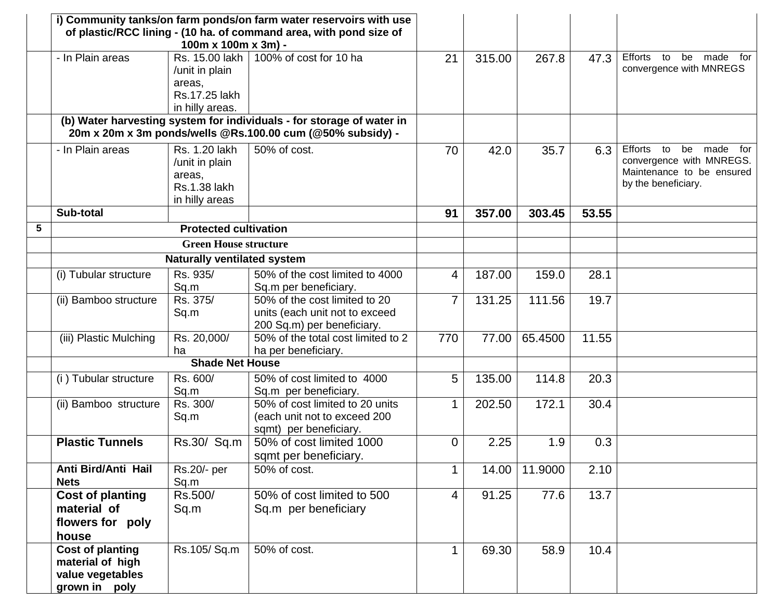|   |                                                                                  | 100m x 100m x 3m) -                                                                | i) Community tanks/on farm ponds/on farm water reservoirs with use<br>of plastic/RCC lining - (10 ha. of command area, with pond size of |                |        |         |       |                                                                                                                           |
|---|----------------------------------------------------------------------------------|------------------------------------------------------------------------------------|------------------------------------------------------------------------------------------------------------------------------------------|----------------|--------|---------|-------|---------------------------------------------------------------------------------------------------------------------------|
|   | - In Plain areas                                                                 | Rs. 15.00 lakh<br>/unit in plain<br>areas,<br>Rs.17.25 lakh<br>in hilly areas.     | 100% of cost for 10 ha                                                                                                                   | 21             | 315.00 | 267.8   | 47.3  | Efforts<br>to<br>be made<br>for<br>convergence with MNREGS                                                                |
|   |                                                                                  |                                                                                    | (b) Water harvesting system for individuals - for storage of water in<br>20m x 20m x 3m ponds/wells @Rs.100.00 cum (@50% subsidy) -      |                |        |         |       |                                                                                                                           |
|   | - In Plain areas                                                                 | Rs. 1.20 lakh<br>/unit in plain<br>areas,<br><b>Rs.1.38 lakh</b><br>in hilly areas | 50% of cost.                                                                                                                             | 70             | 42.0   | 35.7    | 6.3   | <b>Efforts</b><br>made<br>for<br>to<br>be<br>convergence with MNREGS.<br>Maintenance to be ensured<br>by the beneficiary. |
|   | Sub-total                                                                        |                                                                                    |                                                                                                                                          | 91             | 357.00 | 303.45  | 53.55 |                                                                                                                           |
| 5 |                                                                                  | <b>Protected cultivation</b>                                                       |                                                                                                                                          |                |        |         |       |                                                                                                                           |
|   |                                                                                  | <b>Green House structure</b>                                                       |                                                                                                                                          |                |        |         |       |                                                                                                                           |
|   |                                                                                  | <b>Naturally ventilated system</b>                                                 |                                                                                                                                          |                |        |         |       |                                                                                                                           |
|   | (i) Tubular structure                                                            | Rs. 935/<br>Sq.m                                                                   | 50% of the cost limited to 4000<br>Sq.m per beneficiary.                                                                                 | 4              | 187.00 | 159.0   | 28.1  |                                                                                                                           |
|   | (ii) Bamboo structure                                                            | Rs. 375/<br>Sq.m                                                                   | 50% of the cost limited to 20<br>units (each unit not to exceed<br>200 Sq.m) per beneficiary.                                            | 7              | 131.25 | 111.56  | 19.7  |                                                                                                                           |
|   | (iii) Plastic Mulching                                                           | Rs. 20,000/<br>ha                                                                  | 50% of the total cost limited to 2<br>ha per beneficiary.                                                                                | 770            | 77.00  | 65.4500 | 11.55 |                                                                                                                           |
|   |                                                                                  | <b>Shade Net House</b>                                                             |                                                                                                                                          |                |        |         |       |                                                                                                                           |
|   | (i) Tubular structure                                                            | Rs. 600/<br>Sq.m                                                                   | 50% of cost limited to 4000<br>Sq.m per beneficiary.                                                                                     | 5              | 135.00 | 114.8   | 20.3  |                                                                                                                           |
|   | (ii) Bamboo structure                                                            | Rs. 300/<br>Sq.m                                                                   | 50% of cost limited to 20 units<br>(each unit not to exceed 200<br>sqmt) per beneficiary.                                                | 1              | 202.50 | 172.1   | 30.4  |                                                                                                                           |
|   | <b>Plastic Tunnels</b>                                                           | Rs.30/ Sq.m                                                                        | 50% of cost limited 1000<br>sqmt per beneficiary.                                                                                        | $\Omega$       | 2.25   | 1.9     | 0.3   |                                                                                                                           |
|   | Anti Bird/Anti Hail<br><b>Nets</b>                                               | Rs.20/- per<br>Sq.m                                                                | 50% of cost.                                                                                                                             | 1              | 14.00  | 11.9000 | 2.10  |                                                                                                                           |
|   | <b>Cost of planting</b><br>material of<br>flowers for poly<br>house              | Rs.500/<br>Sq.m                                                                    | 50% of cost limited to 500<br>Sq.m per beneficiary                                                                                       | $\overline{4}$ | 91.25  | 77.6    | 13.7  |                                                                                                                           |
|   | <b>Cost of planting</b><br>material of high<br>value vegetables<br>grown in poly | Rs.105/Sq.m                                                                        | 50% of cost.                                                                                                                             | 1              | 69.30  | 58.9    | 10.4  |                                                                                                                           |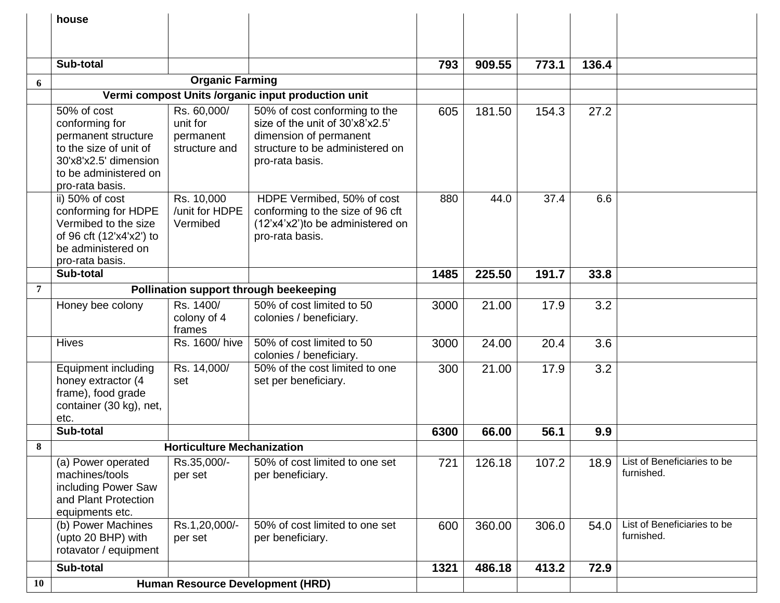|    | house                                                                                                                                               |                                                       |                                                                                                                                                  |      |        |       |       |                                           |
|----|-----------------------------------------------------------------------------------------------------------------------------------------------------|-------------------------------------------------------|--------------------------------------------------------------------------------------------------------------------------------------------------|------|--------|-------|-------|-------------------------------------------|
|    |                                                                                                                                                     |                                                       |                                                                                                                                                  |      |        |       |       |                                           |
|    |                                                                                                                                                     |                                                       |                                                                                                                                                  |      |        |       |       |                                           |
|    | Sub-total                                                                                                                                           |                                                       |                                                                                                                                                  | 793  | 909.55 | 773.1 | 136.4 |                                           |
| 6  |                                                                                                                                                     | <b>Organic Farming</b>                                |                                                                                                                                                  |      |        |       |       |                                           |
|    |                                                                                                                                                     |                                                       | Vermi compost Units /organic input production unit                                                                                               |      |        |       |       |                                           |
|    | 50% of cost<br>conforming for<br>permanent structure<br>to the size of unit of<br>30'x8'x2.5' dimension<br>to be administered on<br>pro-rata basis. | Rs. 60,000/<br>unit for<br>permanent<br>structure and | 50% of cost conforming to the<br>size of the unit of 30'x8'x2.5'<br>dimension of permanent<br>structure to be administered on<br>pro-rata basis. | 605  | 181.50 | 154.3 | 27.2  |                                           |
|    | ii) 50% of cost<br>conforming for HDPE<br>Vermibed to the size<br>of 96 cft (12'x4'x2') to<br>be administered on<br>pro-rata basis.                 | Rs. 10,000<br>/unit for HDPE<br>Vermibed              | HDPE Vermibed, 50% of cost<br>conforming to the size of 96 cft<br>(12'x4'x2') to be administered on<br>pro-rata basis.                           | 880  | 44.0   | 37.4  | 6.6   |                                           |
|    | Sub-total                                                                                                                                           |                                                       |                                                                                                                                                  | 1485 | 225.50 | 191.7 | 33.8  |                                           |
| 7  |                                                                                                                                                     |                                                       | Pollination support through beekeeping                                                                                                           |      |        |       |       |                                           |
|    | Honey bee colony                                                                                                                                    | Rs. 1400/<br>colony of 4<br>frames                    | 50% of cost limited to 50<br>colonies / beneficiary.                                                                                             | 3000 | 21.00  | 17.9  | 3.2   |                                           |
|    | <b>Hives</b>                                                                                                                                        | Rs. 1600/ hive                                        | 50% of cost limited to 50<br>colonies / beneficiary.                                                                                             | 3000 | 24.00  | 20.4  | 3.6   |                                           |
|    | Equipment including<br>honey extractor (4<br>frame), food grade<br>container (30 kg), net,<br>etc.                                                  | Rs. 14,000/<br>set                                    | 50% of the cost limited to one<br>set per beneficiary.                                                                                           | 300  | 21.00  | 17.9  | 3.2   |                                           |
|    | Sub-total                                                                                                                                           |                                                       |                                                                                                                                                  | 6300 | 66.00  | 56.1  | 9.9   |                                           |
| 8  |                                                                                                                                                     | <b>Horticulture Mechanization</b>                     |                                                                                                                                                  |      |        |       |       |                                           |
|    | (a) Power operated<br>machines/tools<br>including Power Saw<br>and Plant Protection<br>equipments etc.                                              | Rs.35,000/-<br>per set                                | 50% of cost limited to one set<br>per beneficiary.                                                                                               | 721  | 126.18 | 107.2 | 18.9  | List of Beneficiaries to be<br>furnished. |
|    | (b) Power Machines<br>(upto 20 BHP) with<br>rotavator / equipment                                                                                   | Rs.1,20,000/-<br>per set                              | 50% of cost limited to one set<br>per beneficiary.                                                                                               | 600  | 360.00 | 306.0 | 54.0  | List of Beneficiaries to be<br>furnished. |
|    | Sub-total                                                                                                                                           |                                                       |                                                                                                                                                  | 1321 | 486.18 | 413.2 | 72.9  |                                           |
| 10 |                                                                                                                                                     |                                                       | <b>Human Resource Development (HRD)</b>                                                                                                          |      |        |       |       |                                           |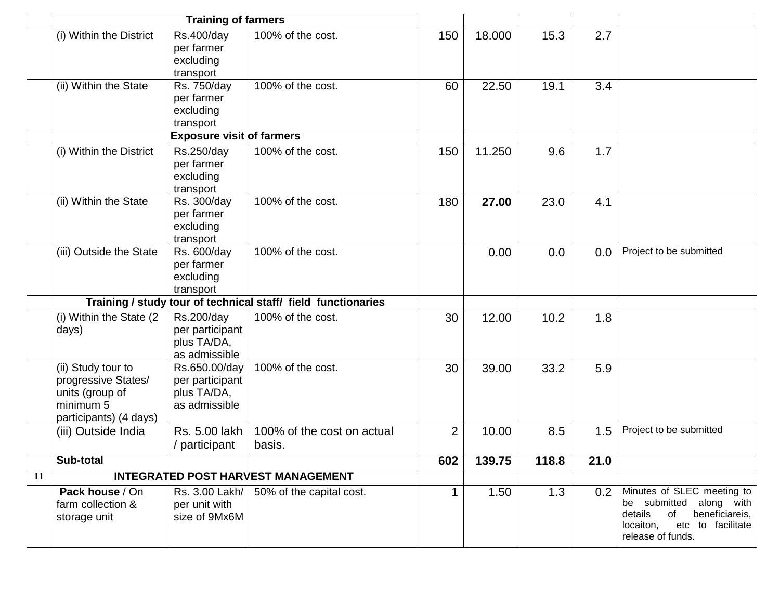|    | <b>Training of farmers</b>                                                                          |                                                                  |                                                               |                |        |       |      |                                                                                                                                                 |
|----|-----------------------------------------------------------------------------------------------------|------------------------------------------------------------------|---------------------------------------------------------------|----------------|--------|-------|------|-------------------------------------------------------------------------------------------------------------------------------------------------|
|    | (i) Within the District                                                                             | Rs.400/day<br>per farmer<br>excluding<br>transport               | 100% of the cost.                                             | 150            | 18.000 | 15.3  | 2.7  |                                                                                                                                                 |
|    | (ii) Within the State                                                                               | Rs. 750/day<br>per farmer<br>excluding<br>transport              | 100% of the cost.                                             | 60             | 22.50  | 19.1  | 3.4  |                                                                                                                                                 |
|    |                                                                                                     | <b>Exposure visit of farmers</b>                                 |                                                               |                |        |       |      |                                                                                                                                                 |
|    | (i) Within the District                                                                             | Rs.250/day<br>per farmer<br>excluding<br>transport               | 100% of the cost.                                             | 150            | 11.250 | 9.6   | 1.7  |                                                                                                                                                 |
|    | (ii) Within the State                                                                               | Rs. 300/day<br>per farmer<br>excluding<br>transport              | 100% of the cost.                                             | 180            | 27.00  | 23.0  | 4.1  |                                                                                                                                                 |
|    | (iii) Outside the State                                                                             | Rs. 600/day<br>per farmer<br>excluding<br>transport              | 100% of the cost.                                             |                | 0.00   | 0.0   | 0.0  | Project to be submitted                                                                                                                         |
|    |                                                                                                     |                                                                  | Training / study tour of technical staff/ field functionaries |                |        |       |      |                                                                                                                                                 |
|    | (i) Within the State (2)<br>days)                                                                   | Rs.200/day<br>per participant<br>plus TA/DA,<br>as admissible    | 100% of the cost.                                             | 30             | 12.00  | 10.2  | 1.8  |                                                                                                                                                 |
|    | (ii) Study tour to<br>progressive States/<br>units (group of<br>minimum 5<br>participants) (4 days) | Rs.650.00/day<br>per participant<br>plus TA/DA,<br>as admissible | 100% of the cost.                                             | 30             | 39.00  | 33.2  | 5.9  |                                                                                                                                                 |
|    | (iii) Outside India                                                                                 | Rs. 5.00 lakh<br>/ participant                                   | 100% of the cost on actual<br>basis.                          | $\overline{2}$ | 10.00  | 8.5   | 1.5  | Project to be submitted                                                                                                                         |
|    | Sub-total                                                                                           |                                                                  |                                                               | 602            | 139.75 | 118.8 | 21.0 |                                                                                                                                                 |
| 11 |                                                                                                     |                                                                  | <b>INTEGRATED POST HARVEST MANAGEMENT</b>                     |                |        |       |      |                                                                                                                                                 |
|    | Pack house / On<br>farm collection &<br>storage unit                                                | Rs. 3.00 Lakh/<br>per unit with<br>size of 9Mx6M                 | 50% of the capital cost.                                      |                | 1.50   | 1.3   | 0.2  | Minutes of SLEC meeting to<br>be submitted along with<br>details<br>of<br>beneficiareis,<br>etc to facilitate<br>locaiton,<br>release of funds. |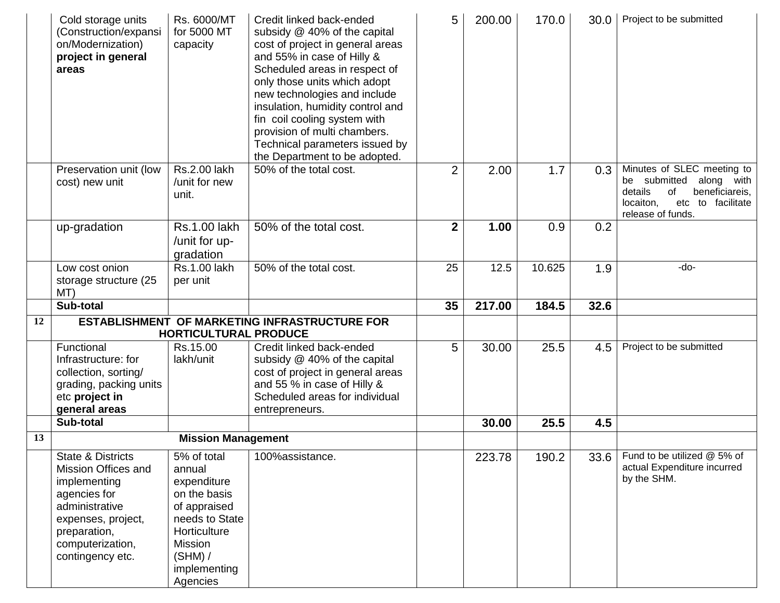|    | Cold storage units<br>(Construction/expansi<br>on/Modernization)<br>project in general<br>areas       | Rs. 6000/MT<br>for 5000 MT<br>capacity            | Credit linked back-ended<br>subsidy @ 40% of the capital<br>cost of project in general areas<br>and 55% in case of Hilly &<br>Scheduled areas in respect of<br>only those units which adopt<br>new technologies and include<br>insulation, humidity control and<br>fin coil cooling system with<br>provision of multi chambers.<br>Technical parameters issued by<br>the Department to be adopted. | 5              | 200.00 | 170.0  | 30.0 | Project to be submitted                                                                                                                               |
|----|-------------------------------------------------------------------------------------------------------|---------------------------------------------------|----------------------------------------------------------------------------------------------------------------------------------------------------------------------------------------------------------------------------------------------------------------------------------------------------------------------------------------------------------------------------------------------------|----------------|--------|--------|------|-------------------------------------------------------------------------------------------------------------------------------------------------------|
|    | Preservation unit (low<br>cost) new unit                                                              | Rs.2.00 lakh<br>/unit for new<br>unit.            | 50% of the total cost.                                                                                                                                                                                                                                                                                                                                                                             | $\overline{2}$ | 2.00   | 1.7    | 0.3  | Minutes of SLEC meeting to<br>submitted<br>along with<br>be<br>beneficiareis,<br>details<br>0f<br>locaiton,<br>etc to facilitate<br>release of funds. |
|    | up-gradation                                                                                          | <b>Rs.1.00 lakh</b><br>/unit for up-<br>gradation | 50% of the total cost.                                                                                                                                                                                                                                                                                                                                                                             | $\overline{2}$ | 1.00   | 0.9    | 0.2  |                                                                                                                                                       |
|    | Low cost onion<br>storage structure (25<br>MT)                                                        | <b>Rs.1.00 lakh</b><br>per unit                   | 50% of the total cost.                                                                                                                                                                                                                                                                                                                                                                             | 25             | 12.5   | 10.625 | 1.9  | -do-                                                                                                                                                  |
|    | Sub-total                                                                                             |                                                   |                                                                                                                                                                                                                                                                                                                                                                                                    | 35             | 217.00 | 184.5  | 32.6 |                                                                                                                                                       |
| 12 |                                                                                                       |                                                   | <b>ESTABLISHMENT OF MARKETING INFRASTRUCTURE FOR</b>                                                                                                                                                                                                                                                                                                                                               |                |        |        |      |                                                                                                                                                       |
|    |                                                                                                       |                                                   |                                                                                                                                                                                                                                                                                                                                                                                                    |                |        |        |      |                                                                                                                                                       |
|    |                                                                                                       | <b>HORTICULTURAL PRODUCE</b>                      |                                                                                                                                                                                                                                                                                                                                                                                                    |                |        |        |      |                                                                                                                                                       |
|    | Functional<br>Infrastructure: for<br>collection, sorting/<br>grading, packing units<br>etc project in | Rs.15.00<br>lakh/unit                             | Credit linked back-ended<br>subsidy @ 40% of the capital<br>cost of project in general areas<br>and 55 % in case of Hilly &<br>Scheduled areas for individual                                                                                                                                                                                                                                      | 5              | 30.00  | 25.5   | 4.5  | Project to be submitted                                                                                                                               |
|    | general areas<br>Sub-total                                                                            |                                                   | entrepreneurs.                                                                                                                                                                                                                                                                                                                                                                                     |                | 30.00  | 25.5   | 4.5  |                                                                                                                                                       |
| 13 |                                                                                                       | <b>Mission Management</b>                         |                                                                                                                                                                                                                                                                                                                                                                                                    |                |        |        |      |                                                                                                                                                       |